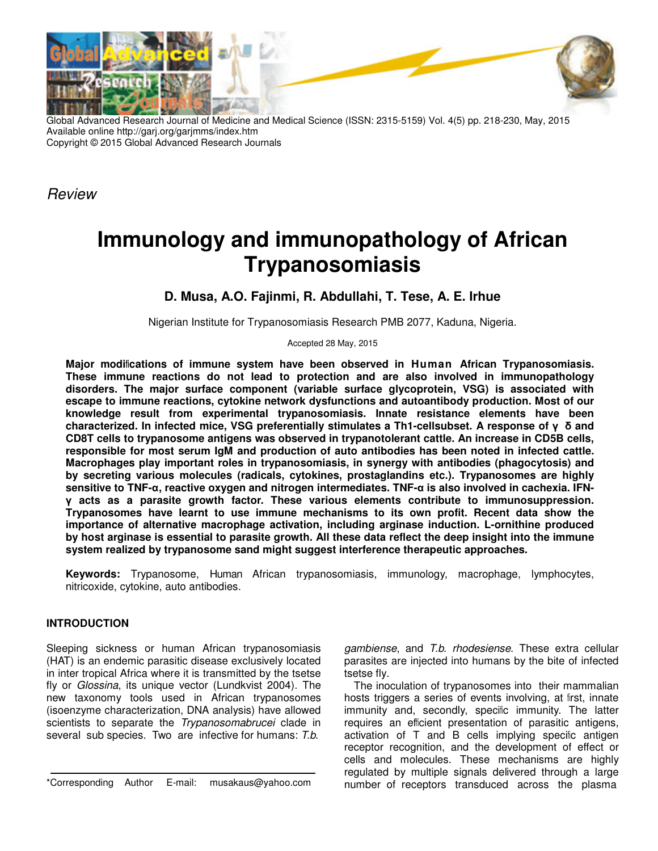

Global Advanced Research Journal of Medicine and Medical Science (ISSN: 2315-5159) Vol. 4(5) pp. 218-230, May, 2015 Available online http://garj.org/garjmms/index.htm Copyright © 2015 Global Advanced Research Journals

Review

# **Immunology and immunopathology of African Trypanosomiasis**

# **D. Musa, A.O. Fajinmi, R. Abdullahi, T. Tese, A. E. Irhue**

Nigerian Institute for Trypanosomiasis Research PMB 2077, Kaduna, Nigeria.

Accepted 28 May, 2015

**Major modifications of immune system have been observed in Human African Trypanosomiasis. These immune reactions do not lead to protection and are also involved in immunopathology disorders. The major surface component (variable surface glycoprotein, VSG) is associated with escape to immune reactions, cytokine network dysfunctions and autoantibody production. Most of our knowledge result from experimental trypanosomiasis. Innate resistance elements have been characterized. In infected mice, VSG preferentially stimulates a Th1-cellsubset. A response of γ δ and CD8T cells to trypanosome antigens was observed in trypanotolerant cattle. An increase in CD5B cells, responsible for most serum IgM and production of auto antibodies has been noted in infected cattle. Macrophages play important roles in trypanosomiasis, in synergy with antibodies (phagocytosis) and by secreting various molecules (radicals, cytokines, prostaglandins etc.). Trypanosomes are highly sensitive to TNF-α, reactive oxygen and nitrogen intermediates. TNF-α is also involved in cachexia. IFNγ acts as a parasite growth factor. These various elements contribute to immunosuppression. Trypanosomes have learnt to use immune mechanisms to its own profit. Recent data show the importance of alternative macrophage activation, including arginase induction. L-ornithine produced by host arginase is essential to parasite growth. All these data reflect the deep insight into the immune system realized by trypanosome sand might suggest interference therapeutic approaches.** 

**Keywords:** Trypanosome, Human African trypanosomiasis, immunology, macrophage, lymphocytes, nitricoxide, cytokine, auto antibodies.

## **INTRODUCTION**

Sleeping sickness or human African trypanosomiasis (HAT) is an endemic parasitic disease exclusively located in inter tropical Africa where it is transmitted by the tsetse fly or Glossina, its unique vector (Lundkvist 2004). The new taxonomy tools used in African trypanosomes (isoenzyme characterization, DNA analysis) have allowed scientists to separate the Trypanosomabrucei clade in several sub species. Two are infective for humans: T.b.

gambiense, and T.b. rhodesiense. These extra cellular parasites are injected into humans by the bite of infected tsetse fly.

The inoculation of trypanosomes into their mammalian hosts triggers a series of events involving, at first, innate immunity and, secondly, specific immunity. The latter requires an efficient presentation of parasitic antigens, activation of T and B cells implying specific antigen receptor recognition, and the development of effect or cells and molecules. These mechanisms are highly regulated by multiple signals delivered through a large number of receptors transduced across the plasma

<sup>\*</sup>Corresponding Author E-mail: musakaus@yahoo.com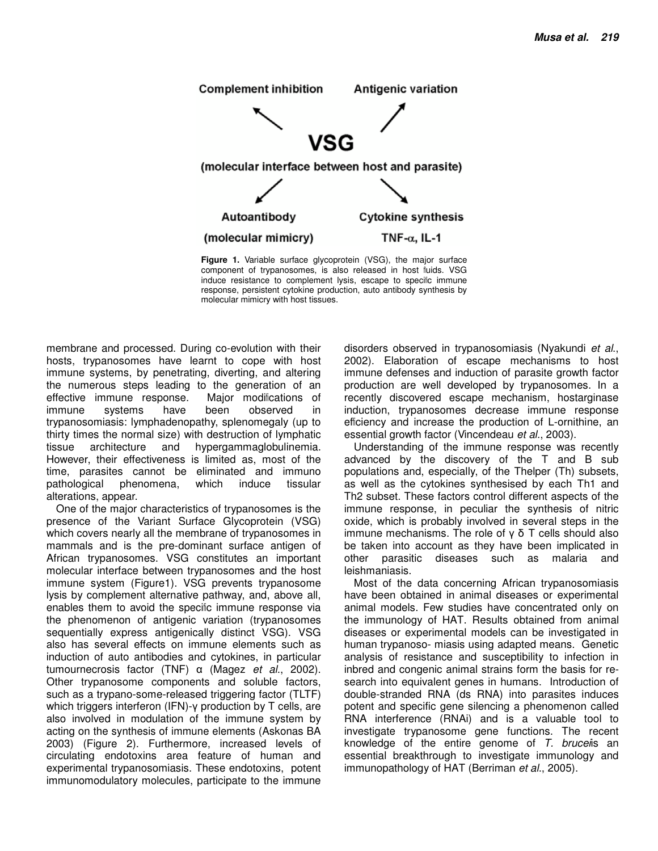

**Figure 1.** Variable surface glycoprotein (VSG), the major surface component of trypanosomes, is also released in host fluids. VSG induce resistance to complement lysis, escape to specific immune response, persistent cytokine production, auto antibody synthesis by molecular mimicry with host tissues.

membrane and processed. During co-evolution with their hosts, trypanosomes have learnt to cope with host immune systems, by penetrating, diverting, and altering the numerous steps leading to the generation of an effective immune response. Major modifications of<br>immune systems have been observed in immune systems have been observed in trypanosomiasis: lymphadenopathy, splenomegaly (up to thirty times the normal size) with destruction of lymphatic tissue architecture and hypergammaglobulinemia. However, their effectiveness is limited as, most of the time, parasites cannot be eliminated and immuno pathological phenomena, which induce tissular alterations, appear.

One of the major characteristics of trypanosomes is the presence of the Variant Surface Glycoprotein (VSG) which covers nearly all the membrane of trypanosomes in mammals and is the pre-dominant surface antigen of African trypanosomes. VSG constitutes an important molecular interface between trypanosomes and the host immune system (Figure1). VSG prevents trypanosome lysis by complement alternative pathway, and, above all, enables them to avoid the specific immune response via the phenomenon of antigenic variation (trypanosomes sequentially express antigenically distinct VSG). VSG also has several effects on immune elements such as induction of auto antibodies and cytokines, in particular tumournecrosis factor (TNF)  $\alpha$  (Magez *et al.*, 2002). Other trypanosome components and soluble factors, such as a trypano-some-released triggering factor (TLTF) which triggers interferon (IFN)-γ production by T cells, are also involved in modulation of the immune system by acting on the synthesis of immune elements (Askonas BA 2003) (Figure 2). Furthermore, increased levels of circulating endotoxins area feature of human and experimental trypanosomiasis. These endotoxins, potent immunomodulatory molecules, participate to the immune

disorders observed in trypanosomiasis (Nyakundi et al., 2002). Elaboration of escape mechanisms to host immune defenses and induction of parasite growth factor production are well developed by trypanosomes. In a recently discovered escape mechanism, hostarginase induction, trypanosomes decrease immune response efficiency and increase the production of L-ornithine, an essential growth factor (Vincendeau et al., 2003).

Understanding of the immune response was recently advanced by the discovery of the T and B sub populations and, especially, of the Thelper (Th) subsets, as well as the cytokines synthesised by each Th1 and Th2 subset. These factors control different aspects of the immune response, in peculiar the synthesis of nitric oxide, which is probably involved in several steps in the immune mechanisms. The role of  $y$  δ T cells should also be taken into account as they have been implicated in other parasitic diseases such as malaria and leishmaniasis.

Most of the data concerning African trypanosomiasis have been obtained in animal diseases or experimental animal models. Few studies have concentrated only on the immunology of HAT. Results obtained from animal diseases or experimental models can be investigated in human trypanoso- miasis using adapted means. Genetic analysis of resistance and susceptibility to infection in inbred and congenic animal strains form the basis for research into equivalent genes in humans. Introduction of double-stranded RNA (ds RNA) into parasites induces potent and specific gene silencing a phenomenon called RNA interference (RNAi) and is a valuable tool to investigate trypanosome gene functions. The recent knowledge of the entire genome of  $T$ . bruce is an essential breakthrough to investigate immunology and immunopathology of HAT (Berriman et al., 2005).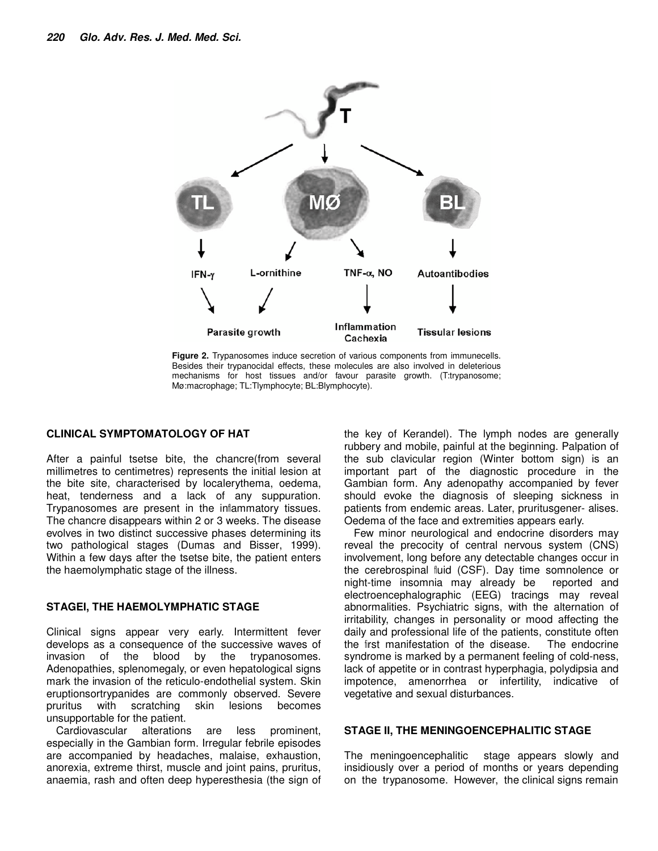

**Figure 2.** Trypanosomes induce secretion of various components from immunecells. Besides their trypanocidal effects, these molecules are also involved in deleterious mechanisms for host tissues and/or favour parasite growth. (T:trypanosome; Mø:macrophage; TL:Tlymphocyte; BL:Blymphocyte).

#### **CLINICAL SYMPTOMATOLOGY OF HAT**

After a painful tsetse bite, the chancre(from several millimetres to centimetres) represents the initial lesion at the bite site, characterised by localerythema, oedema, heat, tenderness and a lack of any suppuration. Trypanosomes are present in the inflammatory tissues. The chancre disappears within 2 or 3 weeks. The disease evolves in two distinct successive phases determining its two pathological stages (Dumas and Bisser, 1999). Within a few days after the tsetse bite, the patient enters the haemolymphatic stage of the illness.

#### **STAGEI, THE HAEMOLYMPHATIC STAGE**

Clinical signs appear very early. Intermittent fever develops as a consequence of the successive waves of invasion of the blood by the trypanosomes. Adenopathies, splenomegaly, or even hepatological signs mark the invasion of the reticulo-endothelial system. Skin eruptionsortrypanides are commonly observed. Severe pruritus with scratching skin lesions becomes unsupportable for the patient.

Cardiovascular alterations are less prominent, especially in the Gambian form. Irregular febrile episodes are accompanied by headaches, malaise, exhaustion, anorexia, extreme thirst, muscle and joint pains, pruritus, anaemia, rash and often deep hyperesthesia (the sign of

the key of Kerandel). The lymph nodes are generally rubbery and mobile, painful at the beginning. Palpation of the sub clavicular region (Winter bottom sign) is an important part of the diagnostic procedure in the Gambian form. Any adenopathy accompanied by fever should evoke the diagnosis of sleeping sickness in patients from endemic areas. Later, pruritusgener- alises. Oedema of the face and extremities appears early.

Few minor neurological and endocrine disorders may reveal the precocity of central nervous system (CNS) involvement, long before any detectable changes occur in the cerebrospinal fluid (CSF). Day time somnolence or night-time insomnia may already be reported and electroencephalographic (EEG) tracings may reveal abnormalities. Psychiatric signs, with the alternation of irritability, changes in personality or mood affecting the daily and professional life of the patients, constitute often the first manifestation of the disease. The endocrine syndrome is marked by a permanent feeling of cold-ness, lack of appetite or in contrast hyperphagia, polydipsia and impotence, amenorrhea or infertility, indicative of vegetative and sexual disturbances.

#### **STAGE II, THE MENINGOENCEPHALITIC STAGE**

The meningoencephalitic stage appears slowly and insidiously over a period of months or years depending on the trypanosome. However, the clinical signs remain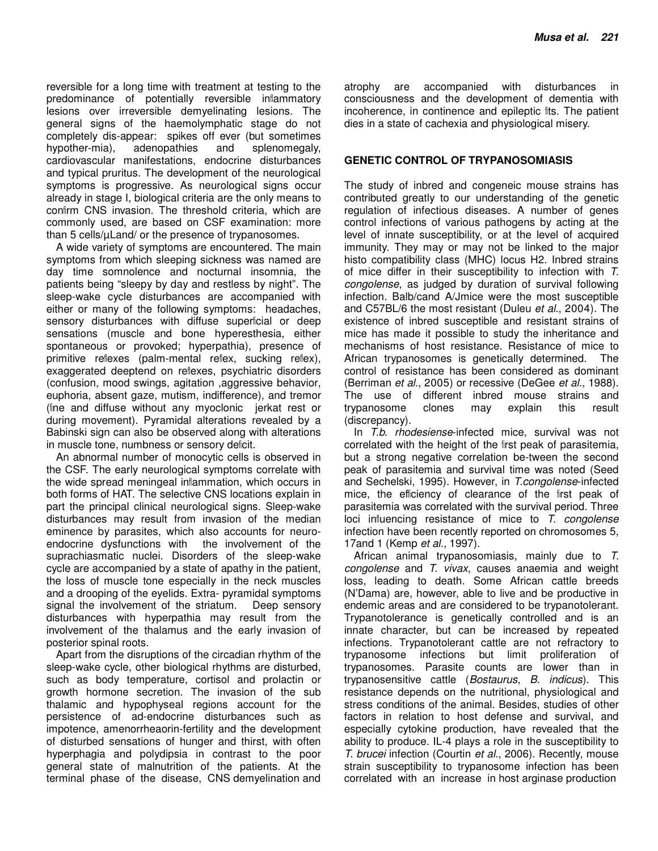reversible for a long time with treatment at testing to the predominance of potentially reversible inflammatory lesions over irreversible demyelinating lesions. The general signs of the haemolymphatic stage do not completely dis-appear: spikes off ever (but sometimes hypother-mia), adenopathies and splenomegaly, cardiovascular manifestations, endocrine disturbances and typical pruritus. The development of the neurological symptoms is progressive. As neurological signs occur already in stage I, biological criteria are the only means to confirm CNS invasion. The threshold criteria, which are commonly used, are based on CSF examination: more than 5 cells/µLand/ or the presence of trypanosomes.

A wide variety of symptoms are encountered. The main symptoms from which sleeping sickness was named are day time somnolence and nocturnal insomnia, the patients being "sleepy by day and restless by night". The sleep-wake cycle disturbances are accompanied with either or many of the following symptoms: headaches, sensory disturbances with diffuse superficial or deep sensations (muscle and bone hyperesthesia, either spontaneous or provoked; hyperpathia), presence of primitive reflexes (palm-mental reflex, sucking reflex), exaggerated deeptend on reflexes, psychiatric disorders (confusion, mood swings, agitation ,aggressive behavior, euphoria, absent gaze, mutism, indifference), and tremor (fine and diffuse without any myoclonic jerkat rest or during movement). Pyramidal alterations revealed by a Babinski sign can also be observed along with alterations in muscle tone, numbness or sensory deficit.

An abnormal number of monocytic cells is observed in the CSF. The early neurological symptoms correlate with the wide spread meningeal inflammation, which occurs in both forms of HAT. The selective CNS locations explain in part the principal clinical neurological signs. Sleep-wake disturbances may result from invasion of the median eminence by parasites, which also accounts for neuroendocrine dysfunctions with the involvement of the suprachiasmatic nuclei. Disorders of the sleep-wake cycle are accompanied by a state of apathy in the patient, the loss of muscle tone especially in the neck muscles and a drooping of the eyelids. Extra- pyramidal symptoms signal the involvement of the striatum. Deep sensory disturbances with hyperpathia may result from the involvement of the thalamus and the early invasion of posterior spinal roots.

Apart from the disruptions of the circadian rhythm of the sleep-wake cycle, other biological rhythms are disturbed, such as body temperature, cortisol and prolactin or growth hormone secretion. The invasion of the sub thalamic and hypophyseal regions account for the persistence of ad-endocrine disturbances such as impotence, amenorrheaorin-fertility and the development of disturbed sensations of hunger and thirst, with often hyperphagia and polydipsia in contrast to the poor general state of malnutrition of the patients. At the terminal phase of the disease, CNS demyelination and

atrophy are accompanied with disturbances in consciousness and the development of dementia with incoherence, in continence and epileptic fits. The patient dies in a state of cachexia and physiological misery.

#### **GENETIC CONTROL OF TRYPANOSOMIASIS**

The study of inbred and congeneic mouse strains has contributed greatly to our understanding of the genetic regulation of infectious diseases. A number of genes control infections of various pathogens by acting at the level of innate susceptibility, or at the level of acquired immunity. They may or may not be linked to the major histo compatibility class (MHC) locus H2. Inbred strains of mice differ in their susceptibility to infection with T. congolense, as judged by duration of survival following infection. Balb/cand A/Jmice were the most susceptible and C57BL/6 the most resistant (Duleu et al., 2004). The existence of inbred susceptible and resistant strains of mice has made it possible to study the inheritance and mechanisms of host resistance. Resistance of mice to African trypanosomes is genetically determined. The control of resistance has been considered as dominant (Berriman et al., 2005) or recessive (DeGee et al., 1988). The use of different inbred mouse strains and trypanosome clones may explain this result (discrepancy).

In T.b. rhodesiense-infected mice, survival was not correlated with the height of the first peak of parasitemia, but a strong negative correlation be-tween the second peak of parasitemia and survival time was noted (Seed and Sechelski, 1995). However, in T.congolense-infected mice, the efficiency of clearance of the first peak of parasitemia was correlated with the survival period. Three loci influencing resistance of mice to T. congolense infection have been recently reported on chromosomes 5, 17and 1 (Kemp et al., 1997).

African animal trypanosomiasis, mainly due to T. congolense and T. vivax, causes anaemia and weight loss, leading to death. Some African cattle breeds (N'Dama) are, however, able to live and be productive in endemic areas and are considered to be trypanotolerant. Trypanotolerance is genetically controlled and is an innate character, but can be increased by repeated infections. Trypanotolerant cattle are not refractory to trypanosome infections but limit proliferation of trypanosomes. Parasite counts are lower than in trypanosensitive cattle (Bostaurus, B. indicus). This resistance depends on the nutritional, physiological and stress conditions of the animal. Besides, studies of other factors in relation to host defense and survival, and especially cytokine production, have revealed that the ability to produce. IL-4 plays a role in the susceptibility to T. brucei infection (Courtin et al., 2006). Recently, mouse strain susceptibility to trypanosome infection has been correlated with an increase in host arginase production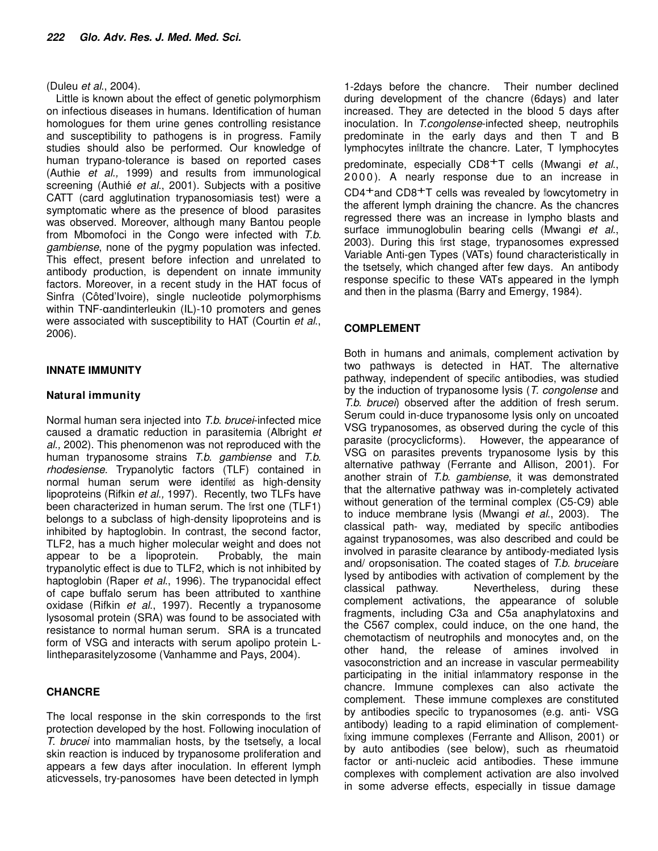#### (Duleu et al., 2004).

Little is known about the effect of genetic polymorphism on infectious diseases in humans. Identification of human homologues for them urine genes controlling resistance and susceptibility to pathogens is in progress. Family studies should also be performed. Our knowledge of human trypano-tolerance is based on reported cases (Authie et al., 1999) and results from immunological screening (Authié et al., 2001). Subjects with a positive CATT (card agglutination trypanosomiasis test) were a symptomatic where as the presence of blood parasites was observed. Moreover, although many Bantou people from Mbomofoci in the Congo were infected with T.b. gambiense, none of the pygmy population was infected. This effect, present before infection and unrelated to antibody production, is dependent on innate immunity factors. Moreover, in a recent study in the HAT focus of Sinfra (Côted'Ivoire), single nucleotide polymorphisms within TNF-αandinterleukin (IL)-10 promoters and genes were associated with susceptibility to HAT (Courtin et al., 2006).

#### **INNATE IMMUNITY**

#### **Natural immunity**

Normal human sera injected into T.b. brucei-infected mice caused a dramatic reduction in parasitemia (Albright et al., 2002). This phenomenon was not reproduced with the human trypanosome strains T.b. gambiense and T.b. rhodesiense. Trypanolytic factors (TLF) contained in normal human serum were identified as high-density lipoproteins (Rifkin et al., 1997). Recently, two TLFs have been characterized in human serum. The first one (TLF1) belongs to a subclass of high-density lipoproteins and is inhibited by haptoglobin. In contrast, the second factor, TLF2, has a much higher molecular weight and does not appear to be a lipoprotein. Probably, the main trypanolytic effect is due to TLF2, which is not inhibited by haptoglobin (Raper et al., 1996). The trypanocidal effect of cape buffalo serum has been attributed to xanthine oxidase (Rifkin et al., 1997). Recently a trypanosome lysosomal protein (SRA) was found to be associated with resistance to normal human serum. SRA is a truncated form of VSG and interacts with serum apolipo protein L-Iintheparasitelyzosome (Vanhamme and Pays, 2004).

## **CHANCRE**

The local response in the skin corresponds to the first protection developed by the host. Following inoculation of T. brucei into mammalian hosts, by the tsetselly, a local skin reaction is induced by trypanosome proliferation and appears a few days after inoculation. In efferent lymph aticvessels, try-panosomes have been detected in lymph

1-2days before the chancre. Their number declined during development of the chancre (6days) and later increased. They are detected in the blood 5 days after inoculation. In T.congolense-infected sheep, neutrophils predominate in the early days and then T and B lymphocytes infiltrate the chancre. Later, T lymphocytes predominate, especially CD8<sup>+</sup>T cells (Mwangi et al., 2000). A nearly response due to an increase in CD4+and CD8+T cells was revealed by flowcytometry in the afferent lymph draining the chancre. As the chancres regressed there was an increase in lympho blasts and surface immunoglobulin bearing cells (Mwangi et al., 2003). During this first stage, trypanosomes expressed Variable Anti-gen Types (VATs) found characteristically in the tsetsefly, which changed after few days. An antibody response specific to these VATs appeared in the lymph and then in the plasma (Barry and Emergy, 1984).

#### **COMPLEMENT**

Both in humans and animals, complement activation by two pathways is detected in HAT. The alternative pathway, independent of specific antibodies, was studied by the induction of trypanosome lysis (T. congolense and T.b. brucei) observed after the addition of fresh serum. Serum could in-duce trypanosome lysis only on uncoated VSG trypanosomes, as observed during the cycle of this parasite (procyclicforms). However, the appearance of VSG on parasites prevents trypanosome lysis by this alternative pathway (Ferrante and Allison, 2001). For another strain of T.b. gambiense, it was demonstrated that the alternative pathway was in-completely activated without generation of the terminal complex (C5-C9) able to induce membrane lysis (Mwangi et al., 2003). The classical path- way, mediated by specific antibodies against trypanosomes, was also described and could be involved in parasite clearance by antibody-mediated lysis and/ oropsonisation. The coated stages of T.b. bruceiare lysed by antibodies with activation of complement by the classical pathway. Nevertheless, during these complement activations, the appearance of soluble fragments, including C3a and C5a anaphylatoxins and the C567 complex, could induce, on the one hand, the chemotactism of neutrophils and monocytes and, on the other hand, the release of amines involved in vasoconstriction and an increase in vascular permeability participating in the initial inflammatory response in the chancre. Immune complexes can also activate the complement. These immune complexes are constituted by antibodies specific to trypanosomes (e.g. anti- VSG antibody) leading to a rapid elimination of complementfixing immune complexes (Ferrante and Allison, 2001) or by auto antibodies (see below), such as rheumatoid factor or anti-nucleic acid antibodies. These immune complexes with complement activation are also involved in some adverse effects, especially in tissue damage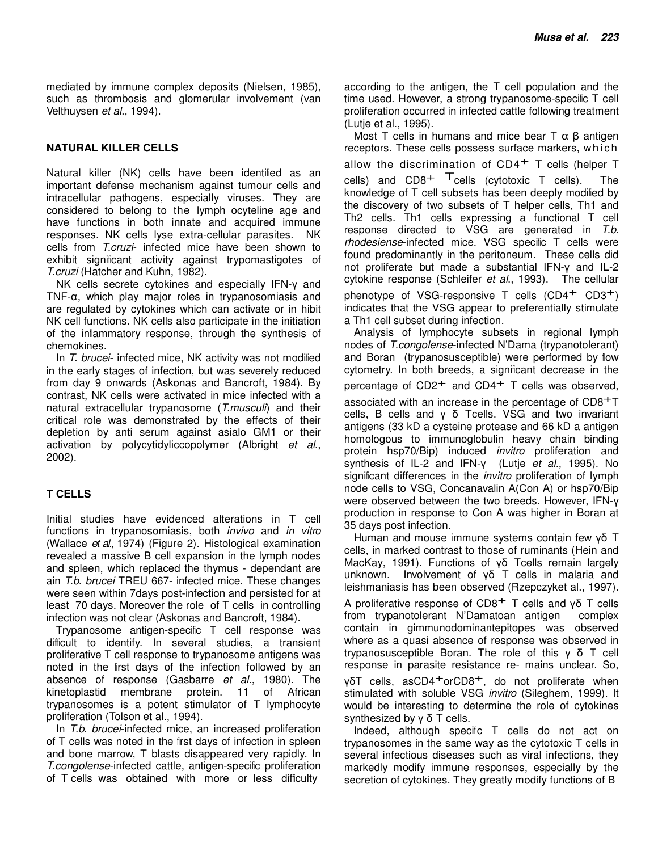mediated by immune complex deposits (Nielsen, 1985), such as thrombosis and glomerular involvement (van Velthuysen et al., 1994).

#### **NATURAL KILLER CELLS**

Natural killer (NK) cells have been identified as an important defense mechanism against tumour cells and intracellular pathogens, especially viruses. They are considered to belong to the lymph ocyteline age and have functions in both innate and acquired immune responses. NK cells lyse extra-cellular parasites. NK cells from T.cruzi- infected mice have been shown to exhibit significant activity against trypomastigotes of T.cruzi (Hatcher and Kuhn, 1982).

NK cells secrete cytokines and especially IFN-γ and TNF-α, which play major roles in trypanosomiasis and are regulated by cytokines which can activate or in hibit NK cell functions. NK cells also participate in the initiation of the inflammatory response, through the synthesis of chemokines.

In T. brucei- infected mice, NK activity was not modified in the early stages of infection, but was severely reduced from day 9 onwards (Askonas and Bancroft, 1984). By contrast, NK cells were activated in mice infected with a natural extracellular trypanosome (T.musculi) and their critical role was demonstrated by the effects of their depletion by anti serum against asialo GM1 or their activation by polycytidyliccopolymer (Albright et al., 2002).

#### **T CELLS**

Initial studies have evidenced alterations in T cell functions in trypanosomiasis, both *invivo* and *in vitro* (Wallace et al., 1974) (Figure 2). Histological examination revealed a massive B cell expansion in the lymph nodes and spleen, which replaced the thymus - dependant are ain T.b. brucei TREU 667- infected mice. These changes were seen within 7days post-infection and persisted for at least 70 days. Moreover the role of T cells in controlling infection was not clear (Askonas and Bancroft, 1984).

Trypanosome antigen-specific T cell response was difficult to identify. In several studies, a transient proliferative T cell response to trypanosome antigens was noted in the first days of the infection followed by an absence of response (Gasbarre et al., 1980). The kinetoplastid membrane protein. 11 of African trypanosomes is a potent stimulator of T lymphocyte proliferation (Tolson et al., 1994).

In *T.b. brucei-*infected mice, an increased proliferation of T cells was noted in the first days of infection in spleen and bone marrow, T blasts disappeared very rapidly. In T.congolense-infected cattle, antigen-specific proliferation of T cells was obtained with more or less difficulty

according to the antigen, the T cell population and the time used. However, a strong trypanosome-specific T cell proliferation occurred in infected cattle following treatment (Lutje et al., 1995).

Most T cells in humans and mice bear  $T \alpha \beta$  antigen receptors. These cells possess surface markers, which allow the discrimination of  $CD4<sup>+</sup>$  T cells (helper T cells) and  $CD8^+$   $T$ cells (cytotoxic T cells). The knowledge of T cell subsets has been deeply modified by the discovery of two subsets of T helper cells, Th1 and Th2 cells. Th1 cells expressing a functional T cell response directed to VSG are generated in T.b. rhodesiense-infected mice. VSG specific T cells were found predominantly in the peritoneum. These cells did not proliferate but made a substantial IFN-γ and IL-2 cytokine response (Schleifer et al., 1993). The cellular phenotype of VSG-responsive T cells  $(CD4^+$  CD3<sup>+</sup>) indicates that the VSG appear to preferentially stimulate a Th1 cell subset during infection.

Analysis of lymphocyte subsets in regional lymph nodes of T.congolense-infected N'Dama (trypanotolerant) and Boran (trypanosusceptible) were performed by flow cytometry. In both breeds, a significant decrease in the percentage of  $CD2^+$  and  $CD4^+$  T cells was observed, associated with an increase in the percentage of CD8+T cells, B cells and γ δ Tcells. VSG and two invariant antigens (33 kD a cysteine protease and 66 kD a antigen homologous to immunoglobulin heavy chain binding protein hsp70/Bip) induced invitro proliferation and synthesis of IL-2 and IFN-γ (Lutje et al., 1995). No significant differences in the *invitro* proliferation of lymph node cells to VSG, Concanavalin A(Con A) or hsp70/Bip were observed between the two breeds. However, IFN-γ production in response to Con A was higher in Boran at 35 days post infection.

Human and mouse immune systems contain few γδ T cells, in marked contrast to those of ruminants (Hein and MacKay, 1991). Functions of γδ Tcells remain largely unknown. Involvement of γδ T cells in malaria and leishmaniasis has been observed (Rzepczyket al., 1997).

A proliferative response of CD8<sup>+</sup> T cells and γδ T cells from trypanotolerant N'Damatoan antigen complex contain in gimmunodominantepitopes was observed where as a quasi absence of response was observed in trypanosusceptible Boran. The role of this γ δ T cell response in parasite resistance re- mains unclear. So, γδT cells, asCD4<sup>+</sup>orCD8<sup>+</sup>, do not proliferate when stimulated with soluble VSG *invitro* (Sileghem, 1999). It would be interesting to determine the role of cytokines synthesized by γ δ T cells.

Indeed, although specific T cells do not act on trypanosomes in the same way as the cytotoxic T cells in several infectious diseases such as viral infections, they markedly modify immune responses, especially by the secretion of cytokines. They greatly modify functions of B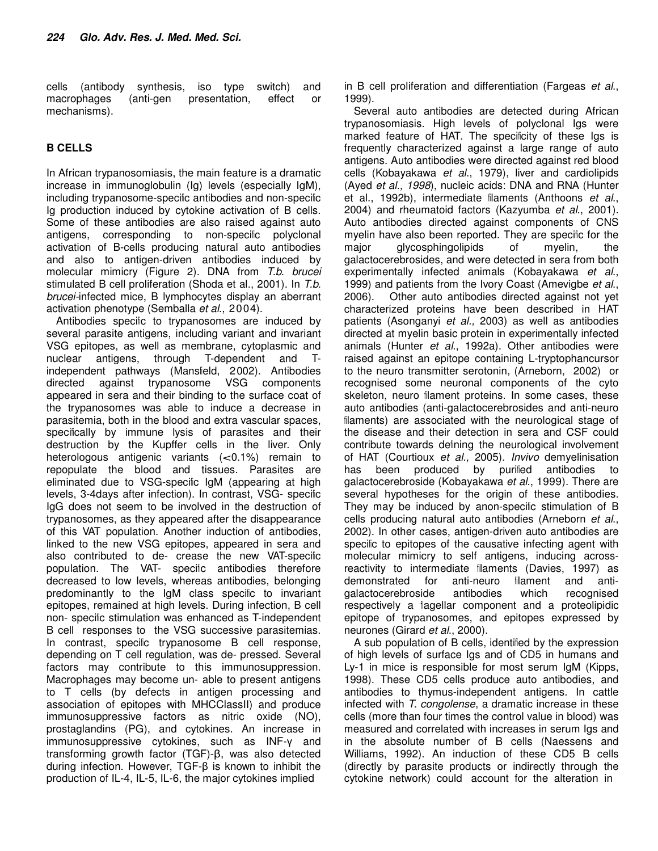cells (antibody synthesis, iso type switch) and macrophages (anti-gen presentation, effect or mechanisms).

# **B CELLS**

In African trypanosomiasis, the main feature is a dramatic increase in immunoglobulin (Ig) levels (especially IgM), including trypanosome-specific antibodies and non-specific Ig production induced by cytokine activation of B cells. Some of these antibodies are also raised against auto antigens, corresponding to non-specific polyclonal activation of B-cells producing natural auto antibodies and also to antigen-driven antibodies induced by molecular mimicry (Figure 2). DNA from T.b. brucei stimulated B cell proliferation (Shoda et al., 2001). In T.b. brucei-infected mice, B lymphocytes display an aberrant activation phenotype (Semballa et al., 2004).

Antibodies specific to trypanosomes are induced by several parasite antigens, including variant and invariant VSG epitopes, as well as membrane, cytoplasmic and nuclear antigens, through T-dependent and Tindependent pathways (Mansfield, 2002). Antibodies directed against trypanosome VSG components appeared in sera and their binding to the surface coat of the trypanosomes was able to induce a decrease in parasitemia, both in the blood and extra vascular spaces, specifically by immune lysis of parasites and their destruction by the Kupffer cells in the liver. Only heterologous antigenic variants (<0.1%) remain to repopulate the blood and tissues. Parasites are eliminated due to VSG-specific IgM (appearing at high levels, 3-4days after infection). In contrast, VSG- specific IgG does not seem to be involved in the destruction of trypanosomes, as they appeared after the disappearance of this VAT population. Another induction of antibodies, linked to the new VSG epitopes, appeared in sera and also contributed to de- crease the new VAT-specific population. The VAT- specific antibodies therefore decreased to low levels, whereas antibodies, belonging predominantly to the IgM class specific to invariant epitopes, remained at high levels. During infection, B cell non- specific stimulation was enhanced as T-independent B cell responses to the VSG successive parasitemias. In contrast, specific trypanosome B cell response, depending on T cell regulation, was de- pressed. Several factors may contribute to this immunosuppression. Macrophages may become un- able to present antigens to T cells (by defects in antigen processing and association of epitopes with MHCClassII) and produce immunosuppressive factors as nitric oxide (NO), prostaglandins (PG), and cytokines. An increase in immunosuppressive cytokines, such as INF-γ and transforming growth factor (TGF)-β, was also detected during infection. However, TGF-β is known to inhibit the production of IL-4, IL-5, IL-6, the major cytokines implied

in B cell proliferation and differentiation (Fargeas et al., 1999).

Several auto antibodies are detected during African trypanosomiasis. High levels of polyclonal Igs were marked feature of HAT. The specificity of these Igs is frequently characterized against a large range of auto antigens. Auto antibodies were directed against red blood cells (Kobayakawa et al., 1979), liver and cardiolipids (Ayed et al., 1998), nucleic acids: DNA and RNA (Hunter et al., 1992b), intermediate filaments (Anthoons et al., 2004) and rheumatoid factors (Kazyumba et al., 2001). Auto antibodies directed against components of CNS myelin have also been reported. They are specific for the major glycosphingolipids of myelin, the galactocerebrosides, and were detected in sera from both experimentally infected animals (Kobayakawa et al., 1999) and patients from the Ivory Coast (Amevigbe et al., 2006). Other auto antibodies directed against not yet characterized proteins have been described in HAT patients (Asonganyi et al., 2003) as well as antibodies directed at myelin basic protein in experimentally infected animals (Hunter et al., 1992a). Other antibodies were raised against an epitope containing L-tryptophancursor to the neuro transmitter serotonin, (Arneborn, 2002) or recognised some neuronal components of the cyto skeleton, neuro filament proteins. In some cases, these auto antibodies (anti-galactocerebrosides and anti-neuro filaments) are associated with the neurological stage of the disease and their detection in sera and CSF could contribute towards defining the neurological involvement of HAT (Courtioux et al., 2005). Invivo demyelinisation has been produced by purified antibodies to galactocerebroside (Kobayakawa et al., 1999). There are several hypotheses for the origin of these antibodies. They may be induced by anon-specific stimulation of B cells producing natural auto antibodies (Arneborn et al., 2002). In other cases, antigen-driven auto antibodies are specific to epitopes of the causative infecting agent with molecular mimicry to self antigens, inducing acrossreactivity to intermediate filaments (Davies, 1997) as demonstrated for anti-neuro filament and antigalactocerebroside antibodies which recognised respectively a flagellar component and a proteolipidic epitope of trypanosomes, and epitopes expressed by neurones (Girard et al., 2000).

A sub population of B cells, identified by the expression of high levels of surface Igs and of CD5 in humans and Ly-1 in mice is responsible for most serum IgM (Kipps, 1998). These CD5 cells produce auto antibodies, and antibodies to thymus-independent antigens. In cattle infected with T. congolense, a dramatic increase in these cells (more than four times the control value in blood) was measured and correlated with increases in serum Igs and in the absolute number of B cells (Naessens and Williams, 1992). An induction of these CD5 B cells (directly by parasite products or indirectly through the cytokine network) could account for the alteration in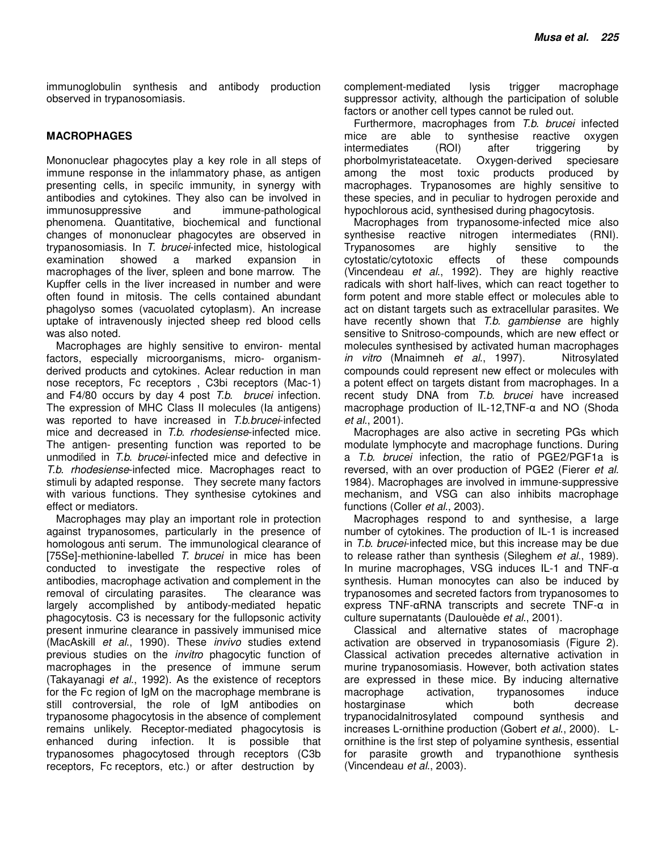immunoglobulin synthesis and antibody production observed in trypanosomiasis.

#### **MACROPHAGES**

Mononuclear phagocytes play a key role in all steps of immune response in the inflammatory phase, as antigen presenting cells, in specific immunity, in synergy with antibodies and cytokines. They also can be involved in immunosuppressive and immune-pathological phenomena. Quantitative, biochemical and functional changes of mononuclear phagocytes are observed in trypanosomiasis. In T. brucei-infected mice, histological examination showed a marked expansion in macrophages of the liver, spleen and bone marrow. The Kupffer cells in the liver increased in number and were often found in mitosis. The cells contained abundant phagolyso somes (vacuolated cytoplasm). An increase uptake of intravenously injected sheep red blood cells was also noted.

Macrophages are highly sensitive to environ- mental factors, especially microorganisms, micro- organismderived products and cytokines. Aclear reduction in man nose receptors, Fc receptors , C3bi receptors (Mac-1) and F4/80 occurs by day 4 post T.b. brucei infection. The expression of MHC Class II molecules (Ia antigens) was reported to have increased in T.b.brucei-infected mice and decreased in T.b. rhodesiense-infected mice. The antigen- presenting function was reported to be unmodified in T.b. brucei-infected mice and defective in T.b. rhodesiense-infected mice. Macrophages react to stimuli by adapted response. They secrete many factors with various functions. They synthesise cytokines and effect or mediators.

Macrophages may play an important role in protection against trypanosomes, particularly in the presence of homologous anti serum. The immunological clearance of [75Se]-methionine-labelled T. brucei in mice has been conducted to investigate the respective roles of antibodies, macrophage activation and complement in the removal of circulating parasites. The clearance was largely accomplished by antibody-mediated hepatic phagocytosis. C3 is necessary for the fullopsonic activity present inmurine clearance in passively immunised mice (MacAskill et al., 1990). These invivo studies extend previous studies on the invitro phagocytic function of macrophages in the presence of immune serum (Takayanagi et al., 1992). As the existence of receptors for the Fc region of IgM on the macrophage membrane is still controversial, the role of IgM antibodies on trypanosome phagocytosis in the absence of complement remains unlikely. Receptor-mediated phagocytosis is enhanced during infection. It is possible that trypanosomes phagocytosed through receptors (C3b receptors, Fc receptors, etc.) or after destruction by

complement-mediated lysis trigger macrophage suppressor activity, although the participation of soluble factors or another cell types cannot be ruled out.

Furthermore, macrophages from T.b. brucei infected mice are able to synthesise reactive oxygen intermediates (ROI) after triggering by phorbolmyristateacetate. Oxygen-derived speciesare among the most toxic products produced by macrophages. Trypanosomes are highly sensitive to these species, and in peculiar to hydrogen peroxide and hypochlorous acid, synthesised during phagocytosis.

Macrophages from trypanosome-infected mice also synthesise reactive nitrogen intermediates (RNI). Trypanosomes are highly sensitive to the cytostatic/cytotoxic effects of these compounds (Vincendeau et al., 1992). They are highly reactive radicals with short half-lives, which can react together to form potent and more stable effect or molecules able to act on distant targets such as extracellular parasites. We have recently shown that T.b. gambiense are highly sensitive to Snitroso-compounds, which are new effect or molecules synthesised by activated human macrophages in vitro (Mnaimneh et al., 1997). Nitrosylated compounds could represent new effect or molecules with a potent effect on targets distant from macrophages. In a recent study DNA from T.b. brucei have increased macrophage production of IL-12,TNF-α and NO (Shoda et al., 2001).

Macrophages are also active in secreting PGs which modulate lymphocyte and macrophage functions. During a T.b. brucei infection, the ratio of PGE2/PGF1a is reversed, with an over production of PGE2 (Fierer et al. 1984). Macrophages are involved in immune-suppressive mechanism, and VSG can also inhibits macrophage functions (Coller et al., 2003).

Macrophages respond to and synthesise, a large number of cytokines. The production of IL-1 is increased in T.b. brucei-infected mice, but this increase may be due to release rather than synthesis (Sileghem et al., 1989). In murine macrophages, VSG induces IL-1 and TNF-α synthesis. Human monocytes can also be induced by trypanosomes and secreted factors from trypanosomes to express TNF-αRNA transcripts and secrete TNF-α in culture supernatants (Daulouède et al., 2001).

Classical and alternative states of macrophage activation are observed in trypanosomiasis (Figure 2). Classical activation precedes alternative activation in murine trypanosomiasis. However, both activation states are expressed in these mice. By inducing alternative macrophage activation, trypanosomes induce hostarginase which both decrease trypanocidalnitrosylated compound synthesis and increases L-ornithine production (Gobert et al., 2000). Lornithine is the first step of polyamine synthesis, essential for parasite growth and trypanothione synthesis (Vincendeau et al., 2003).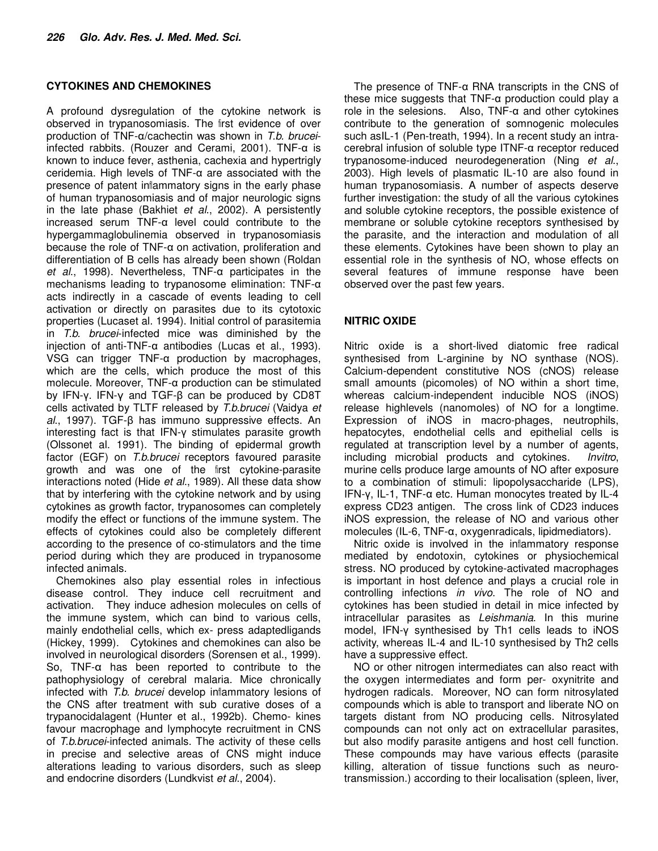#### **CYTOKINES AND CHEMOKINES**

A profound dysregulation of the cytokine network is observed in trypanosomiasis. The first evidence of over production of TNF-α/cachectin was shown in T.b. bruceiinfected rabbits. (Rouzer and Cerami, 2001). TNF-α is known to induce fever, asthenia, cachexia and hypertrigly ceridemia. High levels of TNF-α are associated with the presence of patent inflammatory signs in the early phase of human trypanosomiasis and of major neurologic signs in the late phase (Bakhiet et al., 2002). A persistently increased serum TNF-α level could contribute to the hypergammaglobulinemia observed in trypanosomiasis because the role of TNF-α on activation, proliferation and differentiation of B cells has already been shown (Roldan et al., 1998). Nevertheless, TNF-α participates in the mechanisms leading to trypanosome elimination: TNF-α acts indirectly in a cascade of events leading to cell activation or directly on parasites due to its cytotoxic properties (Lucaset al. 1994). Initial control of parasitemia in T.b. brucei-infected mice was diminished by the injection of anti-TNF-α antibodies (Lucas et al., 1993). VSG can trigger TNF-α production by macrophages, which are the cells, which produce the most of this molecule. Moreover, TNF-α production can be stimulated by IFN-γ. IFN-γ and TGF-β can be produced by CD8T cells activated by TLTF released by T.b.brucei (Vaidya et al., 1997). TGF-β has immuno suppressive effects. An interesting fact is that IFN-γ stimulates parasite growth (Olssonet al. 1991). The binding of epidermal growth factor (EGF) on T.b.brucei receptors favoured parasite growth and was one of the first cytokine-parasite interactions noted (Hide et al., 1989). All these data show that by interfering with the cytokine network and by using cytokines as growth factor, trypanosomes can completely modify the effect or functions of the immune system. The effects of cytokines could also be completely different according to the presence of co-stimulators and the time period during which they are produced in trypanosome infected animals.

Chemokines also play essential roles in infectious disease control. They induce cell recruitment and activation. They induce adhesion molecules on cells of the immune system, which can bind to various cells, mainly endothelial cells, which ex- press adaptedligands (Hickey, 1999). Cytokines and chemokines can also be involved in neurological disorders (Sorensen et al., 1999). So, TNF-α has been reported to contribute to the pathophysiology of cerebral malaria. Mice chronically infected with T.b. brucei develop inflammatory lesions of the CNS after treatment with sub curative doses of a trypanocidalagent (Hunter et al., 1992b). Chemo- kines favour macrophage and lymphocyte recruitment in CNS of T.b.brucei-infected animals. The activity of these cells in precise and selective areas of CNS might induce alterations leading to various disorders, such as sleep and endocrine disorders (Lundkvist et al., 2004).

The presence of TNF-α RNA transcripts in the CNS of these mice suggests that TNF-α production could play a role in the selesions. Also, TNF-α and other cytokines contribute to the generation of somnogenic molecules such asIL-1 (Pen-treath, 1994). In a recent study an intracerebral infusion of soluble type ITNF-α receptor reduced trypanosome-induced neurodegeneration (Ning et al., 2003). High levels of plasmatic IL-10 are also found in human trypanosomiasis. A number of aspects deserve further investigation: the study of all the various cytokines and soluble cytokine receptors, the possible existence of membrane or soluble cytokine receptors synthesised by the parasite, and the interaction and modulation of all these elements. Cytokines have been shown to play an essential role in the synthesis of NO, whose effects on several features of immune response have been observed over the past few years.

#### **NITRIC OXIDE**

Nitric oxide is a short-lived diatomic free radical synthesised from L-arginine by NO synthase (NOS). Calcium-dependent constitutive NOS (cNOS) release small amounts (picomoles) of NO within a short time, whereas calcium-independent inducible NOS (iNOS) release highlevels (nanomoles) of NO for a longtime. Expression of iNOS in macro-phages, neutrophils, hepatocytes, endothelial cells and epithelial cells is regulated at transcription level by a number of agents, including microbial products and cytokines. Invitro, murine cells produce large amounts of NO after exposure to a combination of stimuli: lipopolysaccharide (LPS), IFN-γ, IL-1, TNF-α etc. Human monocytes treated by IL-4 express CD23 antigen. The cross link of CD23 induces iNOS expression, the release of NO and various other molecules (IL-6, TNF-α, oxygenradicals, lipidmediators).

Nitric oxide is involved in the inflammatory response mediated by endotoxin, cytokines or physiochemical stress. NO produced by cytokine-activated macrophages is important in host defence and plays a crucial role in controlling infections in vivo. The role of NO and cytokines has been studied in detail in mice infected by intracellular parasites as Leishmania. In this murine model, IFN-γ synthesised by Th1 cells leads to iNOS activity, whereas IL-4 and IL-10 synthesised by Th2 cells have a suppressive effect.

NO or other nitrogen intermediates can also react with the oxygen intermediates and form per- oxynitrite and hydrogen radicals. Moreover, NO can form nitrosylated compounds which is able to transport and liberate NO on targets distant from NO producing cells. Nitrosylated compounds can not only act on extracellular parasites, but also modify parasite antigens and host cell function. These compounds may have various effects (parasite killing, alteration of tissue functions such as neurotransmission.) according to their localisation (spleen, liver,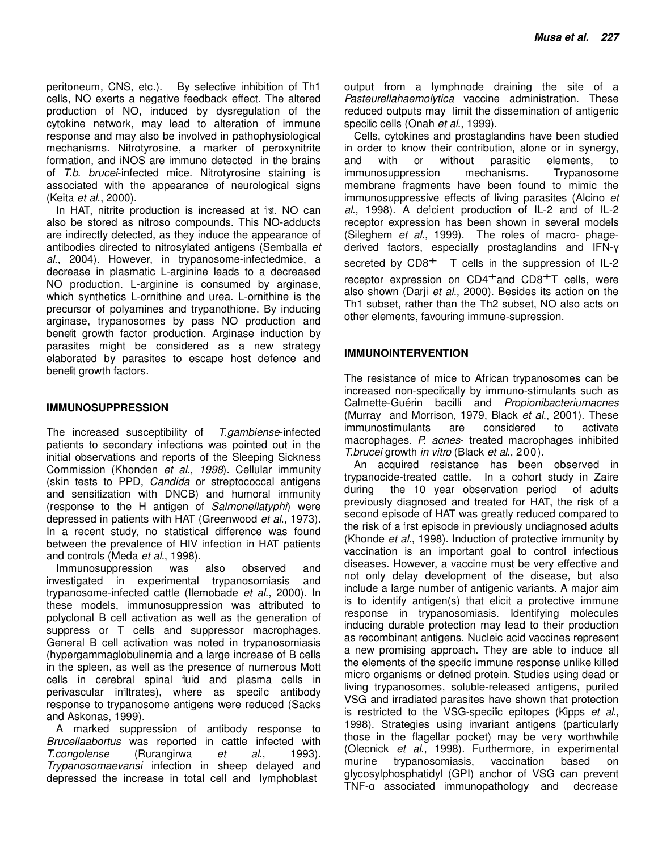peritoneum, CNS, etc.). By selective inhibition of Th1 cells, NO exerts a negative feedback effect. The altered production of NO, induced by dysregulation of the cytokine network, may lead to alteration of immune response and may also be involved in pathophysiological mechanisms. Nitrotyrosine, a marker of peroxynitrite formation, and iNOS are immuno detected in the brains of T.b. brucei-infected mice. Nitrotyrosine staining is associated with the appearance of neurological signs (Keita et al., 2000).

In HAT, nitrite production is increased at first. NO can also be stored as nitroso compounds. This NO-adducts are indirectly detected, as they induce the appearance of antibodies directed to nitrosylated antigens (Semballa et al., 2004). However, in trypanosome-infectedmice, a decrease in plasmatic L-arginine leads to a decreased NO production. L-arginine is consumed by arginase, which synthetics L-ornithine and urea. L-ornithine is the precursor of polyamines and trypanothione. By inducing arginase, trypanosomes by pass NO production and benefit growth factor production. Arginase induction by parasites might be considered as a new strategy elaborated by parasites to escape host defence and benefit growth factors.

#### **IMMUNOSUPPRESSION**

The increased susceptibility of T.gambiense-infected patients to secondary infections was pointed out in the initial observations and reports of the Sleeping Sickness Commission (Khonden et al., 1998). Cellular immunity (skin tests to PPD, Candida or streptococcal antigens and sensitization with DNCB) and humoral immunity (response to the H antigen of Salmonellatyphi) were depressed in patients with HAT (Greenwood et al., 1973). In a recent study, no statistical difference was found between the prevalence of HIV infection in HAT patients and controls (Meda et al., 1998).

Immunosuppression was also observed and investigated in experimental trypanosomiasis and trypanosome-infected cattle (Ilemobade et al., 2000). In these models, immunosuppression was attributed to polyclonal B cell activation as well as the generation of suppress or T cells and suppressor macrophages. General B cell activation was noted in trypanosomiasis (hypergammaglobulinemia and a large increase of B cells in the spleen, as well as the presence of numerous Mott cells in cerebral spinal fluid and plasma cells in perivascular infiltrates), where as specific antibody response to trypanosome antigens were reduced (Sacks and Askonas, 1999).

A marked suppression of antibody response to Brucellaabortus was reported in cattle infected with T.congolense (Rurangirwa et al., 1993). Trypanosomaevansi infection in sheep delayed and depressed the increase in total cell and lymphoblast

output from a lymphnode draining the site of a Pasteurellahaemolytica vaccine administration. These reduced outputs may limit the dissemination of antigenic specific cells (Onah et al., 1999).

Cells, cytokines and prostaglandins have been studied in order to know their contribution, alone or in synergy, and with or without parasitic elements. to and with or without parasitic elements, to immunosuppression mechanisms. Trypanosome membrane fragments have been found to mimic the immunosuppressive effects of living parasites (Alcino et al., 1998). A deficient production of IL-2 and of IL-2 receptor expression has been shown in several models (Sileghem et al., 1999). The roles of macro- phagederived factors, especially prostaglandins and IFN-γ secreted by  $CD8<sup>+</sup>$  T cells in the suppression of IL-2 receptor expression on CD4<sup>+</sup>and CD8<sup>+</sup>T cells, were also shown (Darii et al., 2000). Besides its action on the Th1 subset, rather than the Th2 subset, NO also acts on other elements, favouring immune-supression.

#### **IMMUNOINTERVENTION**

The resistance of mice to African trypanosomes can be increased non-specifically by immuno-stimulants such as Calmette-Guérin bacilli and Propionibacteriumacnes (Murray and Morrison, 1979, Black et al., 2001). These immunostimulants are considered to activate macrophages. P. acnes- treated macrophages inhibited T.brucei growth in vitro (Black et al., 200).

An acquired resistance has been observed in trypanocide-treated cattle. In a cohort study in Zaire during the 10 year observation period of adults previously diagnosed and treated for HAT, the risk of a second episode of HAT was greatly reduced compared to the risk of a first episode in previously undiagnosed adults (Khonde et al., 1998). Induction of protective immunity by vaccination is an important goal to control infectious diseases. However, a vaccine must be very effective and not only delay development of the disease, but also include a large number of antigenic variants. A major aim is to identify antigen(s) that elicit a protective immune response in trypanosomiasis. Identifying molecules inducing durable protection may lead to their production as recombinant antigens. Nucleic acid vaccines represent a new promising approach. They are able to induce all the elements of the specific immune response unlike killed micro organisms or defined protein. Studies using dead or living trypanosomes, soluble-released antigens, purified VSG and irradiated parasites have shown that protection is restricted to the VSG-specific epitopes (Kipps et al., 1998). Strategies using invariant antigens (particularly those in the flagellar pocket) may be very worthwhile (Olecnick et al., 1998). Furthermore, in experimental murine trypanosomiasis, vaccination based on glycosylphosphatidyl (GPI) anchor of VSG can prevent TNF-α associated immunopathology and decrease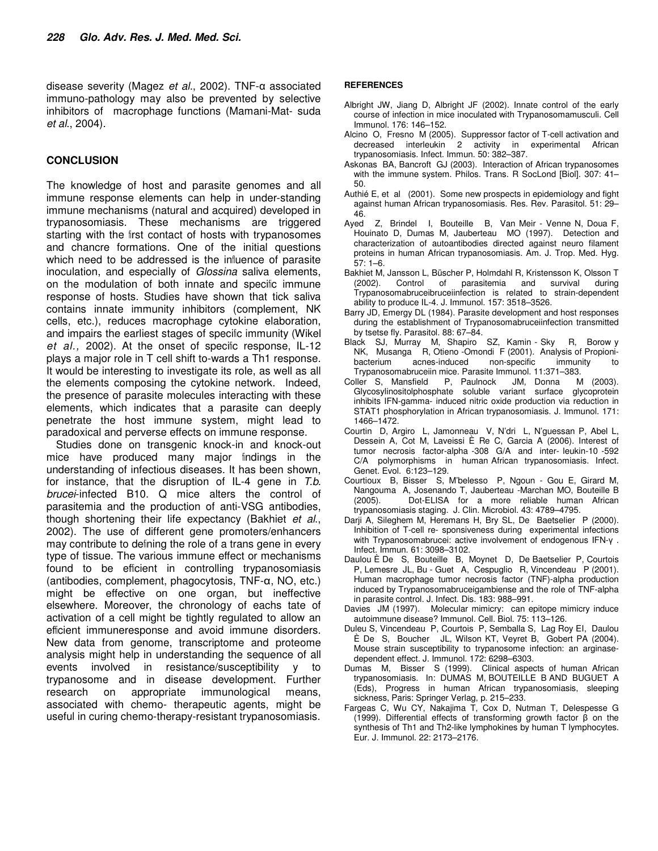disease severity (Magez et al., 2002). TNF-α associated immuno-pathology may also be prevented by selective inhibitors of macrophage functions (Mamani-Mat- suda et al., 2004).

#### **CONCLUSION**

The knowledge of host and parasite genomes and all immune response elements can help in under-standing immune mechanisms (natural and acquired) developed in trypanosomiasis. These mechanisms are triggered starting with the first contact of hosts with trypanosomes and chancre formations. One of the initial questions which need to be addressed is the influence of parasite inoculation, and especially of Glossina saliva elements, on the modulation of both innate and specific immune response of hosts. Studies have shown that tick saliva contains innate immunity inhibitors (complement, NK cells, etc.), reduces macrophage cytokine elaboration, and impairs the earliest stages of specific immunity (Wikel et al., 2002). At the onset of specific response, IL-12 plays a major role in T cell shift to-wards a Th1 response. It would be interesting to investigate its role, as well as all the elements composing the cytokine network. Indeed, the presence of parasite molecules interacting with these elements, which indicates that a parasite can deeply penetrate the host immune system, might lead to paradoxical and perverse effects on immune response.

Studies done on transgenic knock-in and knock-out mice have produced many major findings in the understanding of infectious diseases. It has been shown, for instance, that the disruption of IL-4 gene in  $T.b$ . brucei-infected B10. Q mice alters the control of parasitemia and the production of anti-VSG antibodies, though shortening their life expectancy (Bakhiet et al., 2002). The use of different gene promoters/enhancers may contribute to defining the role of a trans gene in every type of tissue. The various immune effect or mechanisms found to be efficient in controlling trypanosomiasis (antibodies, complement, phagocytosis, TNF-α, NO, etc.) might be effective on one organ, but ineffective elsewhere. Moreover, the chronology of eachs tate of activation of a cell might be tightly regulated to allow an efficient immuneresponse and avoid immune disorders. New data from genome, transcriptome and proteome analysis might help in understanding the sequence of all events involved in resistance/susceptibility y to trypanosome and in disease development. Further research on appropriate immunological means, associated with chemo- therapeutic agents, might be useful in curing chemo-therapy-resistant trypanosomiasis.

#### **REFERENCES**

- Albright JW, Jiang D, Albright JF (2002). Innate control of the early course of infection in mice inoculated with Trypanosomamusculi. Cell Immunol. 176: 146–152.
- Alcino O, Fresno M (2005). Suppressor factor of T-cell activation and decreased interleukin 2 activity in experimental African trypanosomiasis. Infect. Immun. 50: 382–387.
- Askonas BA, Bancroft GJ (2003). Interaction of African trypanosomes with the immune system. Philos. Trans. R SocLond [Biol]. 307: 41– 50.
- Authié E, et al (2001). Some new prospects in epidemiology and fight against human African trypanosomiasis. Res. Rev. Parasitol. 51: 29– 46.
- Ayed Z, Brindel I, Bouteille B, Van Meir Venne N, Doua F, Houinato D, Dumas M, Jauberteau MO (1997). Detection and characterization of autoantibodies directed against neuro filament proteins in human African trypanosomiasis. Am. J. Trop. Med. Hyg. 57: 1–6.
- Bakhiet M, Jansson L, Büscher P, Holmdahl R, Kristensson K, Olsson T (2002). Control of parasitemia and survival during Trypanosomabruceibruceiinfection is related to strain-dependent ability to produce IL-4. J. Immunol. 157: 3518–3526.
- Barry JD, Emergy DL (1984). Parasite development and host responses during the establishment of Trypanosomabruceiinfection transmitted by tsetse fly. Parasitol. 88: 67–84.
- Black SJ, Murray M, Shapiro SZ, Kamin Sky R, Borow y NK, Musanga R, Otieno -Omondi F (2001). Analysis of Propionibacterium acnes-induced non-specific immunity to
- Trypanosomabruceiin mice. Parasite Immunol. 11:371–383. Coller S, Mansfield P, Paulnock JM, Donna M (2003). Glycosylinositolphosphate soluble variant surface inhibits IFN-gamma- induced nitric oxide production via reduction in STAT1 phosphorylation in African trypanosomiasis. J. Immunol. 171: 1466–1472.
- Courtin D, Argiro L, Jamonneau V, N'dri L, N'guessan P, Abel L, Dessein A, Cot M, Laveissi È Re C, Garcia A (2006). Interest of tumor necrosis factor-alpha -308 G/A and inter- leukin-10 -592 C/A polymorphisms in human African trypanosomiasis. Infect. Genet. Evol. 6:123–129.
- Courtioux B, Bisser S, M'belesso P, Ngoun Gou E, Girard M, Nangouma A, Josenando T, Jauberteau -Marchan MO, Bouteille B (2005). Dot-ELISA for a more reliable human African trypanosomiasis staging. J. Clin. Microbiol. 43: 4789–4795.
- Darji A, Sileghem M, Heremans H, Bry SL, De Baetselier P (2000). Inhibition of T-cell re- sponsiveness during experimental infections with Trypanosomabrucei: active involvement of endogenous IFN-γ . Infect. Immun. 61: 3098–3102.
- Daulou È De S, Bouteille B, Moynet D, De Baetselier P, Courtois P, Lemesre JL, Bu - Guet A, Cespuglio R, Vincendeau P (2001). Human macrophage tumor necrosis factor (TNF)-alpha production induced by Trypanosomabruceigambiense and the role of TNF-alpha in parasite control. J. Infect. Dis. 183: 988–991.
- Davies JM (1997). Molecular mimicry: can epitope mimicry induce autoimmune disease? Immunol. Cell. Biol. 75: 113–126.
- Duleu S, Vincendeau P, Courtois P, Semballa S, Lag Roy EI, Daulou È De S, Boucher JL, Wilson KT, Veyret B, Gobert PA (2004). Mouse strain susceptibility to trypanosome infection: an arginasedependent effect. J. Immunol. 172: 6298–6303.
- Dumas M, Bisser S (1999). Clinical aspects of human African trypanosomiasis. In: DUMAS M, BOUTEILLE B AND BUGUET A (Eds), Progress in human African trypanosomiasis, sleeping sickness, Paris: Springer Verlag, p. 215–233.
- Fargeas C, Wu CY, Nakajima T, Cox D, Nutman T, Delespesse G (1999). Differential effects of transforming growth factor β on the synthesis of Th1 and Th2-like lymphokines by human T lymphocytes. Eur. J. Immunol. 22: 2173–2176.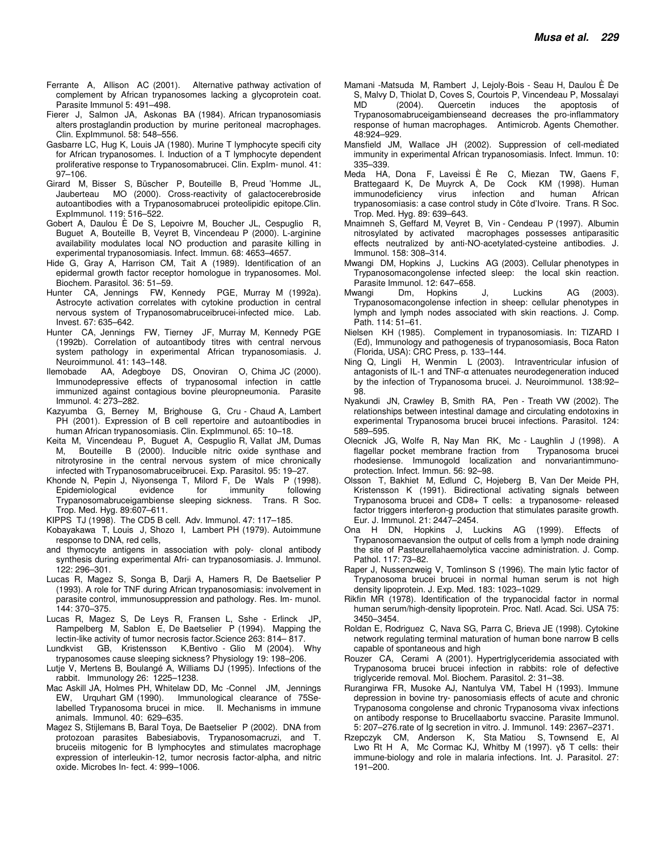- Ferrante A, Allison AC (2001). Alternative pathway activation of complement by African trypanosomes lacking a glycoprotein coat. Parasite Immunol 5: 491–498.
- Fierer J, Salmon JA, Askonas BA (1984). African trypanosomiasis alters prostaglandin production by murine peritoneal macrophages. Clin. ExpImmunol. 58: 548–556.
- Gasbarre LC, Hug K, Louis JA (1980). Murine T lymphocyte specifi city for African trypanosomes. I. Induction of a T lymphocyte dependent proliferative response to Trypanosomabrucei. Clin. Explm- munol. 41: 97–106.
- Girard M, Bisser S, Büscher P, Bouteille B, Preud 'Homme JL, MO (2000). Cross-reactivity of galactocerebroside autoantibodies with a Trypanosomabrucei proteolipidic epitope.Clin. ExpImmunol. 119: 516–522.
- Gobert A, Daulou È De S, Lepoivre M, Boucher JL, Cespuglio R, Buguet A, Bouteille B, Veyret B, Vincendeau P (2000). L-arginine availability modulates local NO production and parasite killing in experimental trypanosomiasis. Infect. Immun. 68: 4653–4657.
- Hide G, Gray A, Harrison CM, Tait A (1989). Identification of an epidermal growth factor receptor homologue in trypanosomes. Mol. Biochem. Parasitol. 36: 51–59.
- Hunter CA, Jennings FW, Kennedy PGE, Murray M (1992a). Astrocyte activation correlates with cytokine production in central nervous system of Trypanosomabruceibrucei-infected mice. Lab. Invest. 67: 635–642.
- Hunter CA, Jennings FW, Tierney JF, Murray M, Kennedy PGE (1992b). Correlation of autoantibody titres with central nervous system pathology in experimental African trypanosomiasis. J. Neuroimmunol. 41: 143–148.
- Ilemobade AA, Adegboye DS, Onoviran O, Chima JC (2000). Immunodepressive effects of trypanosomal infection in cattle immunized against contagious bovine pleuropneumonia. Parasite Immunol. 4: 273–282.
- Kazyumba G, Berney M, Brighouse G, Cru Chaud A, Lambert PH (2001). Expression of B cell repertoire and autoantibodies in human African trypanosomiasis. Clin. ExpImmunol. 65: 10–18.
- Keita M, Vincendeau P, Buguet A, Cespuglio R, Vallat JM, Dumas M, Bouteille B (2000). Inducible nitric oxide synthase and nitrotyrosine in the central nervous system of mice chronically infected with Trypanosomabruceibrucei. Exp. Parasitol. 95: 19–27.
- Khonde N, Pepin J, Niyonsenga T, Milord F, De Wals P (1998). Epidemiological evidence for immunity following Trypanosomabruceigambiense sleeping sickness. Trans. R Soc. Trop. Med. Hyg. 89:607–611.
- KIPPS TJ (1998). The CD5 B cell. Adv. Immunol. 47: 117–185.
- Kobayakawa T, Louis J, Shozo I, Lambert PH (1979). Autoimmune response to DNA, red cells,
- and thymocyte antigens in association with poly- clonal antibody synthesis during experimental Afri- can trypanosomiasis. J. Immunol. 122: 296–301.
- Lucas R, Magez S, Songa B, Darji A, Hamers R, De Baetselier P (1993). A role for TNF during African trypanosomiasis: involvement in parasite control, immunosuppression and pathology. Res. Im- munol. 144: 370–375.
- Lucas R, Magez S, De Leys R, Fransen L, Sshe Erlinck JP, Rampelberg M, Sablon E, De Baetselier P (1994). Mapping the lectin-like activity of tumor necrosis factor.Science 263: 814– 817.
- Lundkvist GB, Kristensson K,Bentivo Glio M (2004). Why trypanosomes cause sleeping sickness? Physiology 19: 198–206.
- Lutje V, Mertens B, Boulangé A, Williams DJ (1995). Infections of the rabbit. Immunology 26: 1225–1238.
- Mac Askill JA, Holmes PH, Whitelaw DD, Mc -Connel JM, Jennings EW, Urquhart GM (1990). Immunological clearance of 75Selabelled Trypanosoma brucei in mice. II. Mechanisms in immune animals. Immunol. 40: 629–635.
- Magez S, Stijlemans B, Baral Toya, De Baetselier P (2002). DNA from protozoan parasites Babesiabovis, Trypanosomacruzi, and T. bruceiis mitogenic for B lymphocytes and stimulates macrophage expression of interleukin-12, tumor necrosis factor-alpha, and nitric oxide. Microbes In- fect. 4: 999–1006.
- Mamani -Matsuda M, Rambert J, Lejoly-Bois Seau H, Daulou È De S, Malvy D, Thiolat D, Coves S, Courtois P, Vincendeau P, Mossalayi MD (2004). Quercetin induces the apoptosis of Trypanosomabruceigambienseand decreases the pro-inflammatory response of human macrophages. Antimicrob. Agents Chemother. 48:924–929.
- Mansfield JM, Wallace JH (2002). Suppression of cell-mediated immunity in experimental African trypanosomiasis. Infect. Immun. 10: 335–339.
- Meda HA, Dona F, Laveissi È Re C, Miezan TW, Gaens F, Brattegaard K, De Muyrck A, De Cock KM (1998). Human infection and human trypanosomiasis: a case control study in Côte d'Ivoire. Trans. R Soc. Trop. Med. Hyg. 89: 639–643.
- Mnaimneh S, Geffard M, Veyret B, Vin Cendeau P (1997). Albumin nitrosylated by activated macrophages possesses antiparasitic effects neutralized by anti-NO-acetylated-cysteine antibodies. J. Immunol. 158: 308–314.
- Mwangi DM, Hopkins J, Luckins AG (2003). Cellular phenotypes in Trypanosomacongolense infected sleep: the local skin reaction. Parasite Immunol. 12: 647–658.
- Mwangi Dm, Hopkins J, Luckins AG (2003). Trypanosomacongolense infection in sheep: cellular phenotypes in lymph and lymph nodes associated with skin reactions. J. Comp. Path. 114: 51–61.
- Nielsen KH (1985). Complement in trypanosomiasis. In: TIZARD I (Ed), Immunology and pathogenesis of trypanosomiasis, Boca Raton (Florida, USA): CRC Press, p. 133–144.
- Ning Q, Lingli H, Wenmin L (2003). Intraventricular infusion of antagonists of IL-1 and TNF-α attenuates neurodegeneration induced by the infection of Trypanosoma brucei. J. Neuroimmunol. 138:92– 98.
- Nyakundi JN, Crawley B, Smith RA, Pen Treath VW (2002). The relationships between intestinal damage and circulating endotoxins in experimental Trypanosoma brucei brucei infections. Parasitol. 124: 589–595.
- Olecnick JG, Wolfe R, Nay Man RK, Mc Laughlin J (1998). A flagellar pocket membrane fraction from Trypanosoma brucei rhodesiense. Immunogold localization and nonvariantimmunoprotection. Infect. Immun. 56: 92–98.
- Olsson T, Bakhiet M, Edlund C, Hojeberg B, Van Der Meide PH, Kristensson K (1991). Bidirectional activating signals between Trypanosoma brucei and CD8+ T cells: a trypanosome- released factor triggers interferon-g production that stimulates parasite growth. Eur. J. Immunol. 21: 2447–2454.
- Ona H DN, Hopkins J, Luckins AG (1999). Effects of Trypanosomaevansion the output of cells from a lymph node draining the site of Pasteurellahaemolytica vaccine administration. J. Comp. Pathol. 117: 73–82.
- Raper J, Nussenzweig V, Tomlinson S (1996). The main lytic factor of Trypanosoma brucei brucei in normal human serum is not high density lipoprotein. J. Exp. Med. 183: 1023–1029.
- Rikfin MR (1978). Identification of the trypanocidal factor in normal human serum/high-density lipoprotein. Proc. Natl. Acad. Sci. USA 75: 3450–3454.
- Roldan E, Rodriguez C, Nava SG, Parra C, Brieva JE (1998). Cytokine network regulating terminal maturation of human bone narrow B cells capable of spontaneous and high
- Rouzer CA, Cerami A (2001). Hypertriglyceridemia associated with Trypanosoma brucei brucei infection in rabbits: role of defective triglyceride removal. Mol. Biochem. Parasitol. 2: 31–38.
- Rurangirwa FR, Musoke AJ, Nantulya VM, Tabel H (1993). Immune depression in bovine try- panosomiasis effects of acute and chronic Trypanosoma congolense and chronic Trypanosoma vivax infections on antibody response to Brucellaabortu svaccine. Parasite Immunol. 5: 207–276.rate of Ig secretion in vitro. J. Immunol. 149: 2367–2371.
- Rzepczyk CM, Anderson K, Sta Matiou S, Townsend E, Al Lwo Rt H A, Mc Cormac KJ, Whitby M (1997). γδ T cells: their immune-biology and role in malaria infections. Int. J. Parasitol. 27: 191–200.